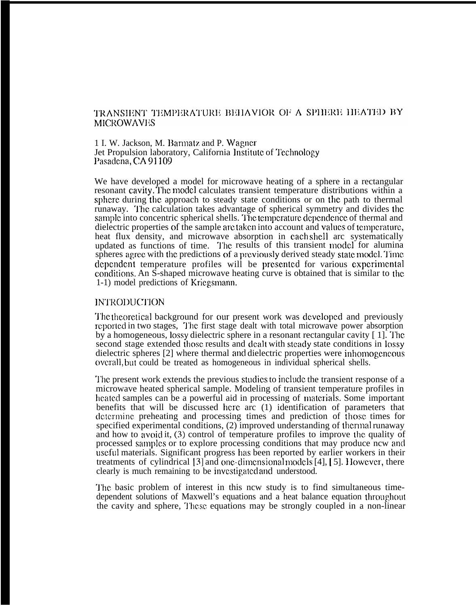# TRANSIENT TEMPERATURE BEHAVIOR OF A SPHERE HEATED BY **MICROWAVES**

1 I. W. Jackson, M. Barmatz and P. Wagner Jet Propulsion laboratory, California Institute of Technology Pasadena, CA 91109

We have developed a model for microwave heating of a sphere in a rectangular resonant cavity. The model calculates transient temperature distributions within a sphere during the approach to steady state conditions or on the path to thermal runaway. '1'hc calculation takes advantage of spherical symmetry and divides tbc sample into concentric spherical shells. The temperature dependence of thermal and dielectric properties of the sample are taken into account and values of temperature, heat flux density, and microwave absorption in cach shell arc systematically updated as functions of time. The results of this transient model for alumina spheres agree with the predictions of a previously derived steady state model. Time dcpcndcnt temperature profiles will be prcscntcd for various cxpcrimcntal conditions. An  $\tilde{S}$ -shaped microwave heating curve is obtained that is similar to the 1-1) model predictions of Kricgsmann.

#### INTRODUCTION

The theoretical background for our present work was developed and previously reported in two stages, The first stage dealt with total microwave power absorption by a homogeneous, lossy dielectric sphere in a resonant rectangular cavity  $[1]$ . The second stage extended those results and dealt with steady state conditions in lossy dielectric spheres [2] where thermal and dielectric properties were inhomogeneous overall, but could be treated as homogeneous in individual spherical shells.

The present work extends the previous studies to include the transient response of a microwave heated spherical sample. Modeling of transient temperature profiles in heated samples can be a powerful aid in processing of materials. Some important benefits that will be discussed bcrc arc (1) identification of parameters that determine preheating and processing times and prediction of those times for specified experimental conditions, (2) improved understanding of thermal runaway and how to avoid it,  $(3)$  control of temperature profiles to improve the quality of processed samples or to explore processing conditions that may produce ncw and useful materials. Significant progress bas been reported by earlier workers in their treatments of cylindrical  $[3]$  and one-dimensional models  $[4]$ ,  $[5]$ . However, there clearly is much remaining to be investigated and understood.

'1'hc basic problem of interest in this ncw study is to find simultaneous timedependent solutions of Maxwell's equations and a heat balance equation throughout the cavity and sphere, These equations may be strongly coupled in a non-linear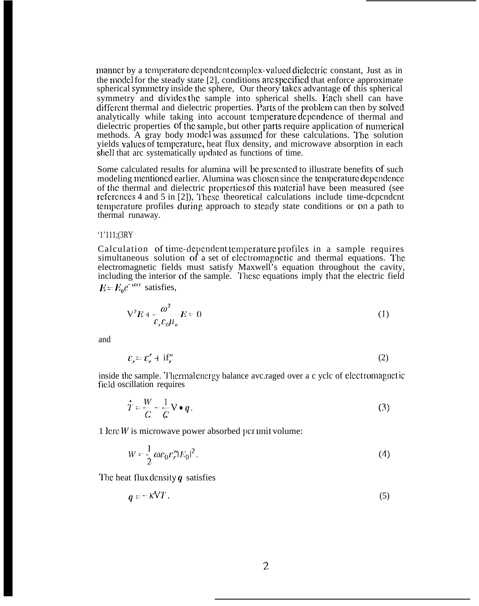manner by a temperature dependent complex-valued diclectric constant, Just as in the model for the steady state [2], conditions arc spccificd that enforce approximate spherical synmctry inside the sphere, Our theory takes advantage of this spherical symmetry and divides the sample into spherical shells. Each shell can have different thermal and dielectric properties. Parts of the problem can then by solved analytically while taking into account temperature dependence of thermal and dielectric properties of the sample, but other parts require application of numerical methods. A gray body model was assumed for these calculations. The solution yields values of tcmpcraturc, heat flux density, and microwave absorption in each shell that arc systematically updated as functions of time.

Some calculated results for alumina will be presented to illustrate benefits of such modeling mentioned earlier. Alumina was chosen since the temperature dependence of the thermal and dielectric properties of this material have been measured (see references 4 and 5 in  $[2]$ ), These theoretical calculations include time-dependent temperature profiles during approach to steady state conditions or on a path to thermal runaway.

#### '1'111;(3RY

Calculation of time-dependent temperature profiles in a sample requires simultaneous solution of a set of electromagnetic and thermal equations. The electromagnetic fields must satisfy Maxwell's equation throughout the cavity, including the interior of the sample. These equations imply that the electric field  $E = E_0 e^{-i\omega t}$  satisfies,

$$
V^2 E + \frac{\omega^2}{\varepsilon_r \varepsilon_0 \mu_o} E = 0 \tag{1}
$$

and

$$
\varepsilon_r = \varepsilon_r' + \text{if}_r'' \tag{2}
$$

inside the sample. Thermal energy balance avc.raged over a c ycle of electromagnetic field oscillation requires

$$
\dot{T} = \frac{W}{C} - \frac{1}{C} \nabla \bullet q. \tag{3}
$$

1 Icrc  $W$  is microwave power absorbed per unit volume:

$$
W = \frac{1}{2} \omega \varepsilon_0 \varepsilon_r'' |E_0|^2. \tag{4}
$$

The heat flux density  $q$  satisfies

$$
q = -kV T. \tag{5}
$$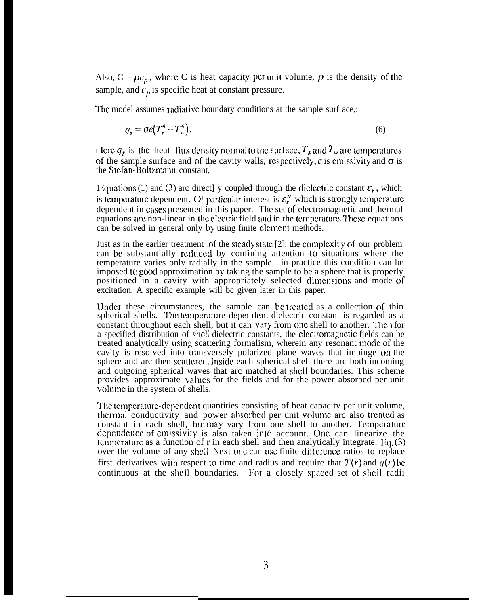Also, C=-  $\rho c_p$ , where C is heat capacity per unit volume,  $\rho$  is the density of the sample, and  $c_n$  is specific heat at constant pressure.

The model assumes radiative boundary conditions at the sample surf ace,:

$$
q_s = \sigma e \left( T_s^4 - T_w^4 \right). \tag{6}
$$

I let  $q_s$  is the heat flux density normal to the surface,  $T_s$  and  $T_w$  are temperatures of the sample surface and of the cavity walls, respectively,  $\epsilon$  is emissivity and  $\sigma$  is the Stefan-Boltzmann constant,

1 iquations (1) and (3) arc direct] y coupled through the diclectric constant  $\varepsilon_r$ , which is temperature dependent. Of particular interest is  $\varepsilon_r''$  which is strongly temperature dependent in cases presented in this paper. The set of electromagnetic and thermal equations are non-linear in the electric field and in the temperature. These equations can be solved in general only by using finite clcmcnt methods.

Just as in the earlier treatment .of the stcacly state [2], the complcxit y of our problem can be substantially reduced by confining attention to situations where the temperature varies only radially in the sample. in practice this condition can be imposed to goocl approximation by taking the sample to be a sphere that is properly positioned in a cavity with appropriately selected dimensions and mode of excitation. A specific example will bc given later in this paper.

Under these circumstances, the sample can be treated as a collection of thin spherical shells. The temperature-dependent dielectric constant is regarded as a constant throughout each shell, but it can vary from one shell to another. Then for a specified distribution of shell dielectric constants, the clcctromagnctic fields can be treated analytically using scattering formalism, wherein any resonant moclc of the cavity is resolved into transversely polarized plane waves that impinge on the sphere and arc then scattered. Inside each spherical shell there arc both incoming and outgoing spherical waves that arc matched at shell boundaries. This scheme provides approximate values for the fields and for the power absorbed per unit volume in the system of shells.

The temperature-dependent quantities consisting of heat capacity per unit volume, thermal conductivity and power absorbed per unit volume arc also treated as constant in each shell, but may vary from one shell to another. Temperature dependence of emissivity is also taken into account. One can linearize the temperature as a function of r in each shell and then analytically integrate. Eq.  $(3)$ over the volume of any shcl]. Next onc can usc finite diffcmncc ratios to replace first derivatives with respect to time and radius and require that  $T(r)$  and  $q(r)$  be continuous at the shell boundaries. For a closely spaced set of shell radii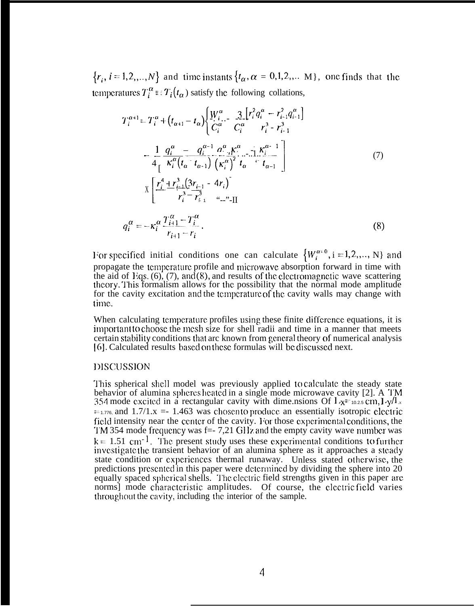$\{r_i, i=1,2,...,N\}$  and time instants  $\{t_{\alpha}, \alpha = 0,1,2,...,M\}$ , one finds that the temperatures  $T_i^{\alpha} = T_i(t_{\alpha})$  satisfy the following collations,

$$
T_{i}^{\alpha+1} = T_{i}^{\alpha} + (t_{\alpha+1} - t_{\alpha}) \left\{ \frac{W_{i}^{\alpha}}{C_{i}^{\alpha}} - \frac{3}{C_{i}^{\alpha}} \left[ r_{i}^{2} q_{i}^{\alpha} - r_{i-1}^{2} q_{i-1}^{\alpha} \right] - \frac{1}{4} \frac{q_{i}^{\alpha}}{r_{i}^{\alpha}} \left[ \frac{q_{i}^{\alpha} - q_{i}^{\alpha-1} q_{i}^{\alpha} R_{i}^{\alpha} - 1}{r_{i}^{\alpha} R_{i}^{\alpha}} - \frac{1}{4} \frac{R_{i}^{\alpha}}{r_{i}^{\alpha}} \left[ \frac{q_{i}^{\alpha} - q_{i}^{\alpha-1} q_{i}^{\alpha} R_{i}^{\alpha} - 1}{r_{i}^{\alpha} R_{i}^{\alpha}} \right] - \frac{1}{4} \left[ \frac{r_{i}^{\alpha} + r_{i-1}^{3} (3r_{i-1} - 4r_{i})}{r_{i}^{3} - r_{i+1}^{3}} - \frac{1}{4} \frac{r_{i+1}^{3}}{r_{i+1}^{\alpha}} \right] \tag{7}
$$
\n
$$
q_{i}^{\alpha} = -\kappa_{i}^{\alpha} \frac{T_{i+1}^{\alpha} - T_{i}^{\alpha}}{r_{i+1} - r_{i}} \tag{8}
$$

For specified initial conditions one can calculate  $\{W_i^{\alpha=0}, i=1,2,..., N\}$  and propagate the temperature profile and microwave absorption forward in time with the aid of Eqs.  $(6)$ ,  $(7)$ , and  $(8)$ , and results of the electromagnetic wave scattering<br>theory. This formalism allows for the possibility that the normal mode amplitude for the cavity excitation and the temperature of the cavity walls may change with time.

When calculating temperature profiles using these finite difference equations, it is important to choose the mesh size for shell radii and time in a manner that meets certain stability conditions that arc known from general theory of numerical analysis [6]. Calculated results based on these formulas will be discussed next.

# DISCUSSION

This spherical shell model was previously applied to calculate the steady state<br>behavior of alumina spheres heated in a single mode microwave cavity [2]. A TM 354 mode excited in a rectangular cavity with dimensions Of  $L_x = 0.25$  cm,  $L_y/L_x$  $=$  1.776, and 1.7/1.x = 1.463 was chosen to produce an essentially isotropic electric field intensity near the center of the cavity. For those experimental conditions, the TM 354 mode frequency was  $f = 7,21$  GHz and the empty cavity wave number was  $k = 1.51$  cm<sup>-1</sup>. The present study uses these experimental conditions to further investigate the transient behavior of an alumina sphere as it approaches a steady state condition or experiences thermal runaway. Unless stated otherwise, the predictions presented in this paper were determined by dividing the sphere into 20 equally spaced spherical shells. The electric field strengths given in this paper are norms] mode characteristic amplitudes. Of course, the electric field varies throughout the cavity, including the interior of the sample.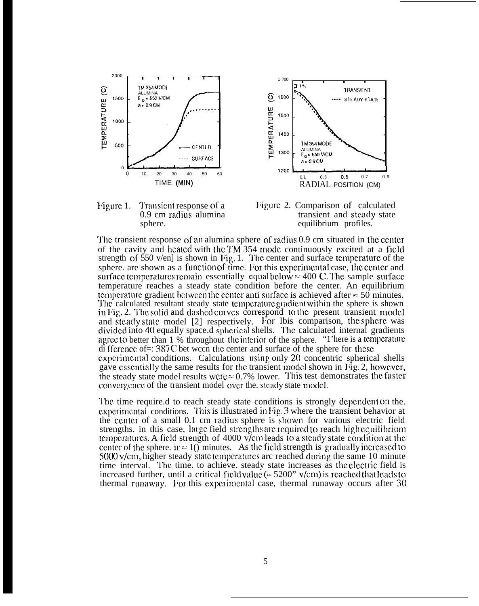







The transient response of an alumina sphere of radius 0.9 cm situated in the center of the cavity and heated with the TM 354 mode continuously excited at a field strength of  $\frac{550}{10}$  v/en] is shown in Fig. 1. The center and surface temperature of the sphere, are shown as a function of time. For this experimental case, the center and surface temperatures remain essentially equal below  $\approx 400$  C. The sample surface temperature reaches a steady state condition before the center. An equilibrium temperature gradient between the center anti-surface is achieved after  $\approx 50$  minutes. The calculated resultant steady state temperature gradient within the sphere is shown in Fig. 2. The solid and dashed curves correspond to the present transient model and steady state model [2] respectively. For Ibis comparison, the sphere was divided into 40 equally space.d spherical shells. The calculated internal gradients agree to better than 1 % throughout the interior of the sphere. "I'here is a temperature di fference of=: 387C bet ween the center and surface of the sphere for these experimental conditions. Calculations using only 20 concentric spherical shells gave essentially the same results for the transient model shown in Fig. 2, however, the steady state model results were  $\approx 0.7\%$  lower. This test demonstrates the faster convergence of the transient model over the steady state model.

The time require.d to reach steady state conditions is strongly dependent on the. experimental conditions. This is illustrated in Fig. 3 where the transient behavior at the center of a small 0.1 cm radius sphere is shown for various electric field strengths. in this case, large field strengths are required to reach high equilibrium temperatures. A field strength of 4000 v/cm leads to a steady state condition at the center of the sphere. in  $\approx 1$  minutes. As the field strength is gradually increased to  $5000 \text{ v/cm}$ , higher steady state temperatures arc reached during the same 10 minute time interval. The time, to achieve, steady state increases as the electric field is increased further, until a critical field value ( $\approx$  5200" v/cm) is reached that leads to thermal runaway. For this experimental case, thermal runaway occurs after 30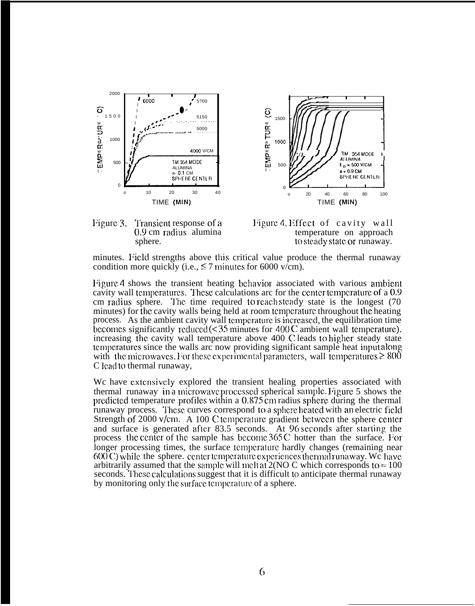



Figure 3. Transient response of a 0.9 cm radius alumina sphere.

Figure 4. Effect of cavity wall temperature on approach to steady state or runaway.

minutes. Field strengths above this critical value produce the thermal runaway condition more quickly (i.e.,  $\leq$  7 minutes for 6000 v/cm).

Figure 4 shows the transient heating behavior associated with various ambient cavity wall temperatures. These calculations are for the center temperature of a 0.9 cm radius sphere. The time required to reach steady state is the longest (70) minutes) for the cavity walls being held at room temperature throughout the heating process. As the ambient cavity wall temperature is increased, the equilibration time becomes significantly reduced  $(<$ 35 minutes for 400 C ambient wall temperature). increasing the cavity wall temperature above 400 C leads to higher steady state temperatures since the walls are now providing significant sample heat input along with the microwaves. For these experimental parameters, wall temperatures  $\geq 800$ C lead to thermal runaway,

We have extensively explored the transient healing properties associated with thermal runaway in a microwave processed spherical sample. Figure 5 shows the predicted temperature profiles within a 0.875 cm radius sphere during the thermal runaway process. These curves correspond to a sphere heated with an electric field Strength of 2000 v/cm. A 100 C temperature gradient between the sphere center and surface is generated after 83.5 seconds. At 96 seconds after starting the process the center of the sample has become 365 C hotter than the surface. For longer processing times, the surface temperature hardly changes (remaining near  $600 \text{ C}$ ) while the sphere, center temperature experiences thermal runaway. We have arbitrarily assumed that the sample will meltat  $2(NO C)$  which corresponds to  $\approx 100$ seconds. These calculations suggest that it is difficult to anticipate thermal runaway by monitoring only the surface temperature of a sphere.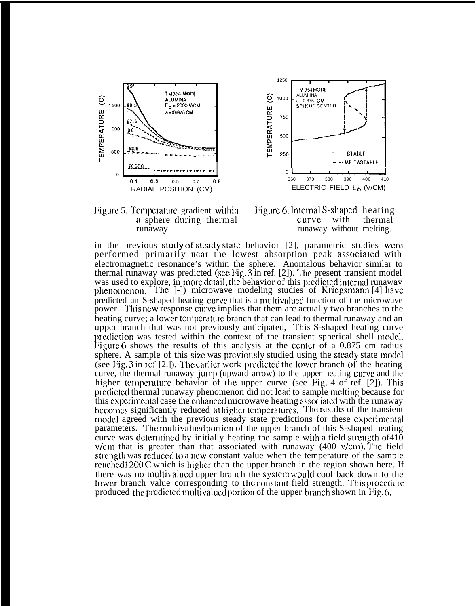







in the previous study of steady state behavior  $[2]$ , parametric studies were performed primarily near the lowest absorption peak associated with electromagnetic resonance's within the sphere. Anomalous behavior similar to thermal runaway was predicted (see Fig.  $3$  in ref. [2]). The present transient model was used to explore, in more detail, the behavior of this predicted internal runaway phenomenon. The 1-1 microwave modeling studies of Kriegsmann [4] have predicted an S-shaped heating curve that is a multivalued function of the microwave power. This new response curve implies that them are actually two branches to the heating curve; a lower temperature branch that can lead to thermal runaway and an upper branch that was not previously anticipated, This S-shaped heating curve prediction was tested within the context of the transient spherical shell model. Figure 6 shows the results of this analysis at the center of a 0.875 cm radius sphere. A sample of this size was previously studied using the steady state model (see Fig. 3 in ref [2.]). The earlier work predicted the lower branch of the heating curve, the thermal runaway jump (upward arrow) to the upper heating curve and the higher temperature behavior of the upper curve (see Fig. 4 of ref. [2]). This predicted thermal runaway phenomenon did not lead to sample melting because for this experimental case the enhanced microwave heating associated with the runaway becomes significantly reduced at higher temperatures. The results of the transient model agreed with the previous steady state predictions for these experimental parameters. The multivalued portion of the upper branch of this S-shaped heating curve was determined by initially heating the sample with a field strength of 410  $v/cm$  that is greater than that associated with runaway (400  $v/cm$ ). The field strength was reduced to a new constant value when the temperature of the sample reached 1200 C which is higher than the upper branch in the region shown here. If there was no multivalued upper branch the system would cool back down to the lower branch value corresponding to the constant field strength. This procedure produced the predicted multivalued portion of the upper branch shown in Fig. 6.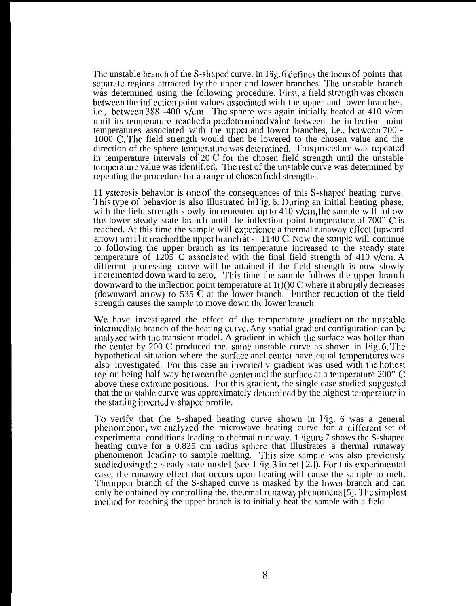The unstable branch of the S-shaped curve. in Fig. 6 defines the locus of points that separate regions attracted by the upper and lower branches. The unstable branch was determined using the following procedure. First, a field strength was chosen between the inflection point values associated with the upper and lower branches, i.e., bctwccn 388 -400 v/cm. The sphere was again initially heated at 410 v/cm until its temperature rcachcd a prcdctcrmined value between the inflection point temperatures associated with the upper and lower branches, i.e., between  $700$  -1000 C. The field strength would then be lowered to the chosen value and the direction of the sphere temperature was determined. This procedure was repeated in temperature intervals of 20 C for the chosen field strength until the unstable tcmpcraturc value was idcntiflcd. "1'hc rest of the unstab]c curve was determined by repeating the procedure for a range of chosen field strengths.

11 ystcrcsis behavior is one of the consequences of this S-shapccl heating curve. This type of behavior is also illustrated in Fig. 6. During an initial heating phase, with the field strength slowly incremented up to 410 v/cm, the sample will follow the lower steady state branch until the inflection point tcmpcraturc of 700" C is reached. At this time the sample will cxpcricncc a thermal runaway effect (upward arrow) until it reached the upper branch at  $\approx 1140$  C. Now the sample will continue to following the upper branch as its temperature increased to the steady state temperature of  $1205$  C associated with the final field strength of 410 v/cm. A different processing curve will be attained if the field strength is now slowly i ncremented down ward to zero, This time the sample follows the upper branch downward to the inflection point temperature at  $1()$ ()0 C where it abruptly decreases (downward arrow) to 535  $\tilde{C}$  at the lower branch. Further reduction of the field strength causes the sample to move down the lower branch.

We have investigated the effect of the temperature gradient on the unstable intermediate branch of the heating curve. Any spatial gradient configuration can be analyzed with the transient model. A gradient in which the surface was hotter than the center by  $200$  C produced the. same unstable curve as shown in Fig. 6. The hypothetical situation where the surface ancl center have equal temperatures was also investigated. For this case an inverted v gradient was used with the hottest region being half way between the center and the surface at a temperature  $200$ " C above these extreme positions. For this gradient, the single case studied suggested that the unstable curve was approximately determined by the highest temperature in the starting inverted v-shaped profile.

'1'o verify that (he S-shaped heating curve shown in l~ig. 6 was a general phenomenon, we analyzed the microwave heating curve for a different set of experimental conditions leading to thermal runaway. 1  $\gamma$  igure 7 shows the S-shaped heating curve for a 0.825 cm radius sphere that illustrates a thermal runaway phenomenon leading to sample melting. This size sample was also previously studied using the steady state mode] (see  $1 \text{ qg}$ ,  $3 \text{ in ref } [2]$ ). For this experimental case, the runaway effect that occurs upon heating will cause the sample to melt. '1'hc upper branch of the S-shaped curve is masked by the ]owcr branch and can only be obtained by controlling the. the  $r$ mal runaway phenomena [5]. The simplest lnethod for reaching the upper branch is to initially heat the sample with a field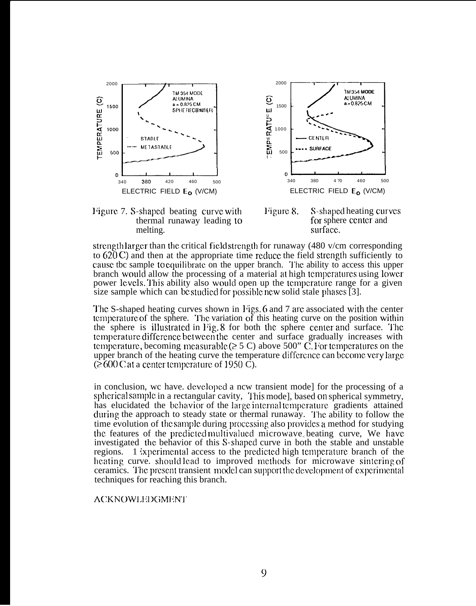







strength larger than tbe critical field strcngtb for runaway (480 v/cm corresponding to  $620$  C) and then at the appropriate time reduce the field strength sufficiently to cause tbc sample to equilibrate on the upper branch. The ability to access this upper branch would allow the processing of a material at high temperatures using lower power levels. This ability also would open up the temperature range for a given size sample which can be studied for possible new solid stale phases  $\overline{3}$ .

The S-shaped heating curves shown in Figs. 6 and 7 are associated with the center tcmpcraturc of the sphere. "1'hc variation of this heating curve on the position within the sphere is illustrated in Fig.  $8$  for both the sphere center and surface. The temperature difference between the center and surface gradually increases with temperature, becoming measurable ( $\geq 5$  C) above 500" C. For temperatures on the upper branch of the heating curve the temperature difference can become very large  $\approx 600 \text{ C}$  at a center temperature of 1950 C).

in conclusion, wc have. dcvclopcd a ncw transient mode] for the processing of a spherical sample in a rectangular cavity, This model, based on spherical symmetry, has elucidated the bchavior of the large internal temperature gradients attained during the approach to steady state or thermal runaway. The ability to follow the time evolution of the sample during processing also provides a method for studying tbc features of the prcdictcd multivalucd microwave< beating curve, We have investigated the behavior of this S-shaped curve in both the stable and unstable regions. 1 ixpcrimcnta] access to the prcdictcd high tcmpcraturc branch of the heating curve. should lead to improved methods for microwave sintering of ceramics. 'J'hc prcscmt transient mocic] can supporl tbc dcvclopmcnt of cxpcrimcntal techniques for reaching this branch.

### ACKNOWLEDGMENT